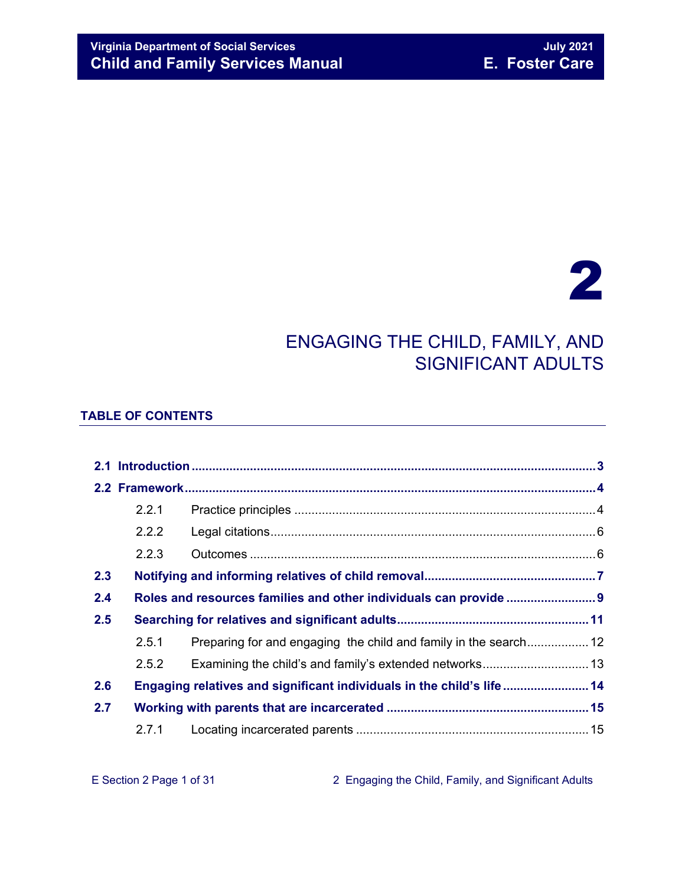# 2

## ENGAGING THE CHILD, FAMILY, AND SIGNIFICANT ADULTS

#### **TABLE OF CONTENTS**

| 2.2.1      |                   |                                                                                                                                            |
|------------|-------------------|--------------------------------------------------------------------------------------------------------------------------------------------|
| 2.2.2      |                   |                                                                                                                                            |
| 2.2.3      |                   |                                                                                                                                            |
|            |                   |                                                                                                                                            |
|            |                   |                                                                                                                                            |
|            |                   |                                                                                                                                            |
| 2.5.1      |                   |                                                                                                                                            |
| 2.5.2      |                   |                                                                                                                                            |
|            |                   |                                                                                                                                            |
|            |                   |                                                                                                                                            |
| 2.7.1      |                   |                                                                                                                                            |
| 2.4<br>2.7 | 2.3<br>2.5<br>2.6 | Preparing for and engaging the child and family in the search 12<br>Engaging relatives and significant individuals in the child's life  14 |

E Section 2 Page 1 of 31 2 Engaging the Child, Family, and Significant Adults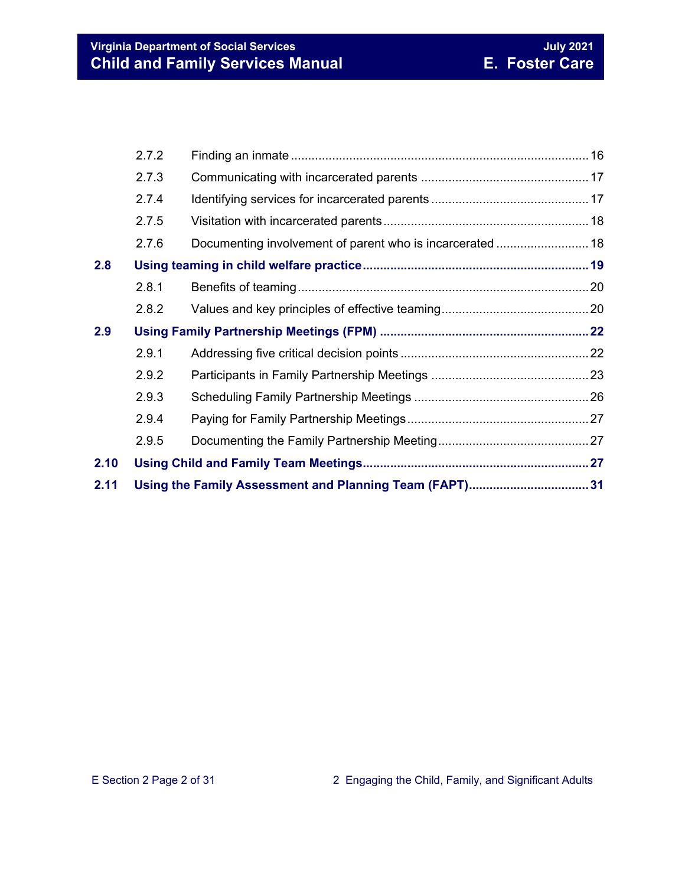| 2.11 |       |                                                          |  |
|------|-------|----------------------------------------------------------|--|
| 2.10 |       |                                                          |  |
|      | 2.9.5 |                                                          |  |
|      | 2.9.4 |                                                          |  |
|      | 2.9.3 |                                                          |  |
|      | 2.9.2 |                                                          |  |
|      | 2.9.1 |                                                          |  |
| 2.9  |       |                                                          |  |
|      | 2.8.2 |                                                          |  |
|      | 2.8.1 |                                                          |  |
| 2.8  |       |                                                          |  |
|      | 2.7.6 | Documenting involvement of parent who is incarcerated 18 |  |
|      | 2.7.5 |                                                          |  |
|      | 2.7.4 |                                                          |  |
|      | 2.7.3 |                                                          |  |
|      | 2.7.2 |                                                          |  |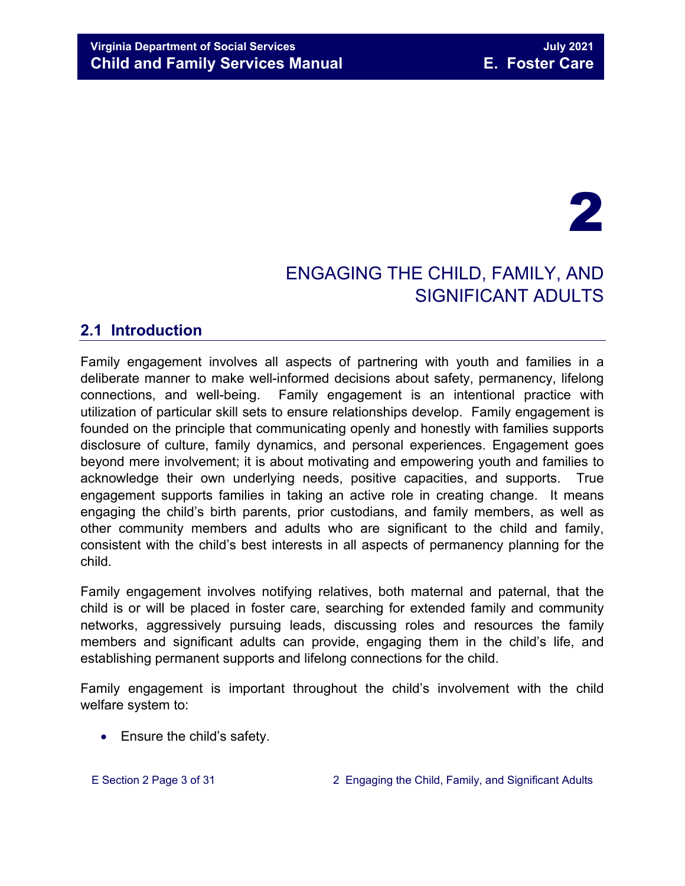# 2

## ENGAGING THE CHILD, FAMILY, AND SIGNIFICANT ADULTS

## <span id="page-2-0"></span>**2.1 Introduction**

Family engagement involves all aspects of partnering with youth and families in a deliberate manner to make well-informed decisions about safety, permanency, lifelong connections, and well-being. Family engagement is an intentional practice with utilization of particular skill sets to ensure relationships develop. Family engagement is founded on the principle that communicating openly and honestly with families supports disclosure of culture, family dynamics, and personal experiences. Engagement goes beyond mere involvement; it is about motivating and empowering youth and families to acknowledge their own underlying needs, positive capacities, and supports. True engagement supports families in taking an active role in creating change. It means engaging the child's birth parents, prior custodians, and family members, as well as other community members and adults who are significant to the child and family, consistent with the child's best interests in all aspects of permanency planning for the child.

Family engagement involves notifying relatives, both maternal and paternal, that the child is or will be placed in foster care, searching for extended family and community networks, aggressively pursuing leads, discussing roles and resources the family members and significant adults can provide, engaging them in the child's life, and establishing permanent supports and lifelong connections for the child.

Family engagement is important throughout the child's involvement with the child welfare system to:

• Ensure the child's safety.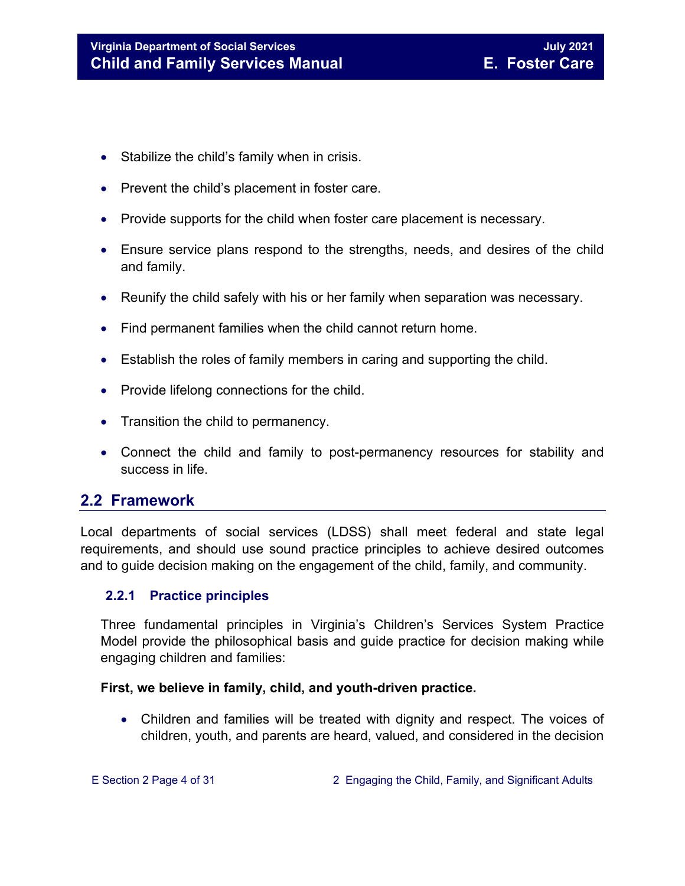- Stabilize the child's family when in crisis.
- Prevent the child's placement in foster care.
- Provide supports for the child when foster care placement is necessary.
- Ensure service plans respond to the strengths, needs, and desires of the child and family.
- Reunify the child safely with his or her family when separation was necessary.
- Find permanent families when the child cannot return home.
- Establish the roles of family members in caring and supporting the child.
- Provide lifelong connections for the child.
- Transition the child to permanency.
- Connect the child and family to post-permanency resources for stability and success in life.

### <span id="page-3-0"></span>**2.2 Framework**

Local departments of social services (LDSS) shall meet federal and state legal requirements, and should use sound practice principles to achieve desired outcomes and to guide decision making on the engagement of the child, family, and community.

#### <span id="page-3-1"></span>**2.2.1 Practice principles**

Three fundamental principles in Virginia's Children's Services System Practice Model provide the philosophical basis and guide practice for decision making while engaging children and families:

#### **First, we believe in family, child, and youth-driven practice.**

• Children and families will be treated with dignity and respect. The voices of children, youth, and parents are heard, valued, and considered in the decision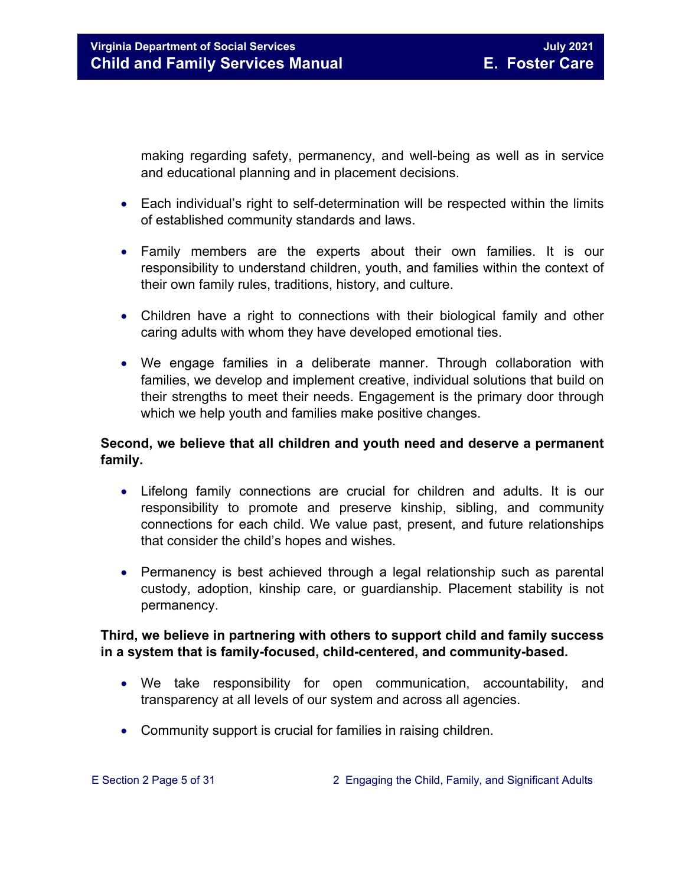making regarding safety, permanency, and well-being as well as in service and educational planning and in placement decisions.

- Each individual's right to self-determination will be respected within the limits of established community standards and laws.
- Family members are the experts about their own families. It is our responsibility to understand children, youth, and families within the context of their own family rules, traditions, history, and culture.
- Children have a right to connections with their biological family and other caring adults with whom they have developed emotional ties.
- We engage families in a deliberate manner. Through collaboration with families, we develop and implement creative, individual solutions that build on their strengths to meet their needs. Engagement is the primary door through which we help youth and families make positive changes.

#### **Second, we believe that all children and youth need and deserve a permanent family.**

- Lifelong family connections are crucial for children and adults. It is our responsibility to promote and preserve kinship, sibling, and community connections for each child. We value past, present, and future relationships that consider the child's hopes and wishes.
- Permanency is best achieved through a legal relationship such as parental custody, adoption, kinship care, or guardianship. Placement stability is not permanency.

#### **Third, we believe in partnering with others to support child and family success in a system that is family-focused, child-centered, and community-based.**

- We take responsibility for open communication, accountability, and transparency at all levels of our system and across all agencies.
- Community support is crucial for families in raising children.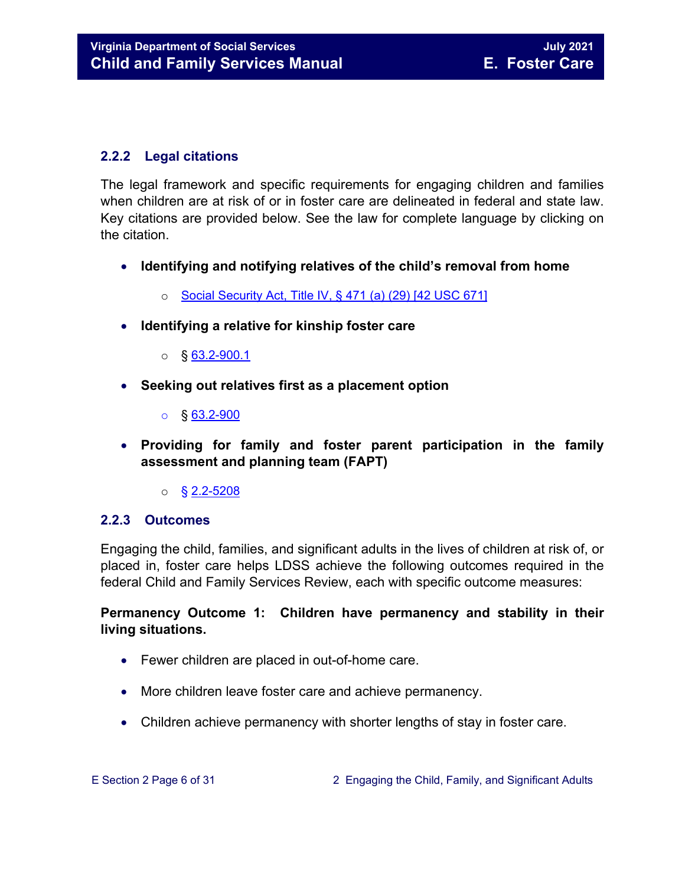#### <span id="page-5-0"></span>**2.2.2 Legal citations**

The legal framework and specific requirements for engaging children and families when children are at risk of or in foster care are delineated in federal and state law. Key citations are provided below. See the law for complete language by clicking on the citation.

- **Identifying and notifying relatives of the child's removal from home** 
	- o [Social Security Act, Title IV, § 471 \(a\) \(29\) \[42 USC 671\]](http://www.ssa.gov/OP_Home/ssact/title04/0471.htm)
- **Identifying a relative for kinship foster care** 
	- $\circ$  § [63.2-900.1](https://law.lis.virginia.gov/vacode/63.2-900.1/)
- **Seeking out relatives first as a placement option** 
	- o § [63.2-900](https://law.lis.virginia.gov/vacode/63.2-900/)
- **Providing for family and foster parent participation in the family assessment and planning team (FAPT)** 
	- $\circ$  § 2.2-5208

#### <span id="page-5-1"></span>**2.2.3 Outcomes**

Engaging the child, families, and significant adults in the lives of children at risk of, or placed in, foster care helps LDSS achieve the following outcomes required in the federal Child and Family Services Review, each with specific outcome measures:

#### **Permanency Outcome 1: Children have permanency and stability in their living situations.**

- Fewer children are placed in out-of-home care.
- More children leave foster care and achieve permanency.
- Children achieve permanency with shorter lengths of stay in foster care.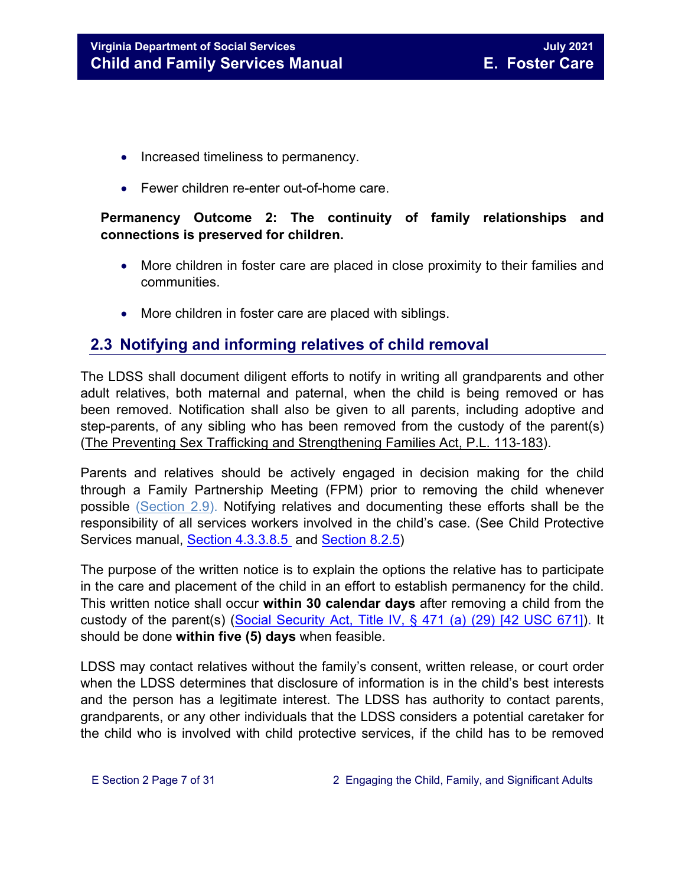- Increased timeliness to permanency.
- Fewer children re-enter out-of-home care.

#### **Permanency Outcome 2: The continuity of family relationships and connections is preserved for children.**

- More children in foster care are placed in close proximity to their families and communities.
- More children in foster care are placed with siblings.

## <span id="page-6-0"></span>**2.3 Notifying and informing relatives of child removal**

The LDSS shall document diligent efforts to notify in writing all grandparents and other adult relatives, both maternal and paternal, when the child is being removed or has been removed. Notification shall also be given to all parents, including adoptive and step-parents, of any sibling who has been removed from the custody of the parent(s) [\(The Preventing Sex Trafficking and Strengthening Families Act, P.L. 113-183\)](https://www.congress.gov/113/bills/hr4980/BILLS-113hr4980enr.pdf).

Parents and relatives should be actively engaged in decision making for the child through a Family Partnership Meeting (FPM) prior to removing the child whenever possible [\(Section 2.9\)](#page-21-0). Notifying relatives and documenting these efforts shall be the responsibility of all services workers involved in the child's case. (See Child Protective Services manual, [Section 4.3.3.8.5](https://fusion.dss.virginia.gov/Portals/%5Bdfs%5D/Files/DFS%20Manuals/CPS%20Manuals/Manual--2020/section_4_assessments_investigations%20July%202020.pdf#page=37) and [Section 8.2.5\)](https://fusion.dss.virginia.gov/Portals/%5Bdfs%5D/Files/DFS%20Manuals/CPS%20Manuals/Manual--2020/updated_section_8_judicial_proceedings%20August%202020.pdf#page=11)

The purpose of the written notice is to explain the options the relative has to participate in the care and placement of the child in an effort to establish permanency for the child. This written notice shall occur **within 30 calendar days** after removing a child from the custody of the parent(s) [\(Social Security Act, Title IV, § 471 \(a\) \(29\) \[42 USC 671\]\)](http://www.ssa.gov/OP_Home/ssact/title04/0471.htm). It should be done **within five (5) days** when feasible.

LDSS may contact relatives without the family's consent, written release, or court order when the LDSS determines that disclosure of information is in the child's best interests and the person has a legitimate interest. The LDSS has authority to contact parents, grandparents, or any other individuals that the LDSS considers a potential caretaker for the child who is involved with child protective services, if the child has to be removed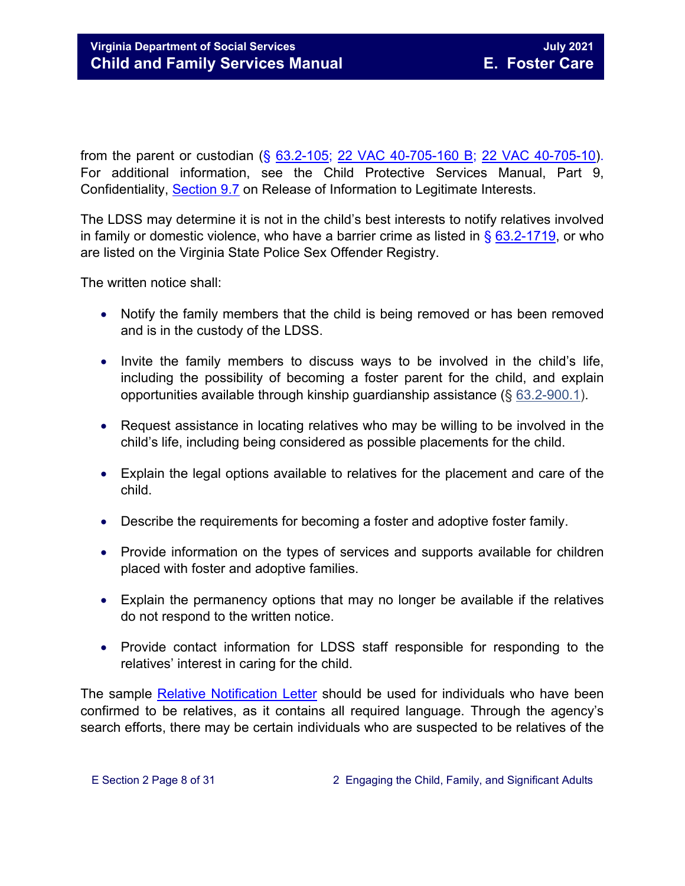from the parent or custodian (§ [63.2-105;](https://law.lis.virginia.gov/vacode/63.2-105/) [22 VAC 40-705-160 B;](https://law.lis.virginia.gov/admincode/title22/agency40/chapter705/section160/) [22 VAC 40-705-10\)](https://law.lis.virginia.gov/admincode/title22/agency40/chapter705/section10/). For additional information, see the Child Protective Services Manual, Part 9, Confidentiality, [Section 9.7](https://fusion.dss.virginia.gov/Portals/%5Bdfs%5D/Files/DFS%20Manuals/CPS%20Manuals/Manual--2019/section_9_confidentiality%20August%202019.pdf#page=19) on Release of Information to Legitimate Interests.

The LDSS may determine it is not in the child's best interests to notify relatives involved in family or domestic violence, who have a barrier crime as listed in  $\S$  [63.2-1719,](https://law.lis.virginia.gov/vacode/63.2-1719/) or who are listed on the Virginia State Police Sex Offender Registry.

The written notice shall:

- Notify the family members that the child is being removed or has been removed and is in the custody of the LDSS.
- Invite the family members to discuss ways to be involved in the child's life, including the possibility of becoming a foster parent for the child, and explain opportunities available through kinship guardianship assistance (§ [63.2-900.1\)](https://law.lis.virginia.gov/vacode/63.2-900.1/).
- Request assistance in locating relatives who may be willing to be involved in the child's life, including being considered as possible placements for the child.
- Explain the legal options available to relatives for the placement and care of the child.
- Describe the requirements for becoming a foster and adoptive foster family.
- Provide information on the types of services and supports available for children placed with foster and adoptive families.
- Explain the permanency options that may no longer be available if the relatives do not respond to the written notice.
- Provide contact information for LDSS staff responsible for responding to the relatives' interest in caring for the child.

The sample **Relative Notification Letter** should be used for individuals who have been confirmed to be relatives, as it contains all required language. Through the agency's search efforts, there may be certain individuals who are suspected to be relatives of the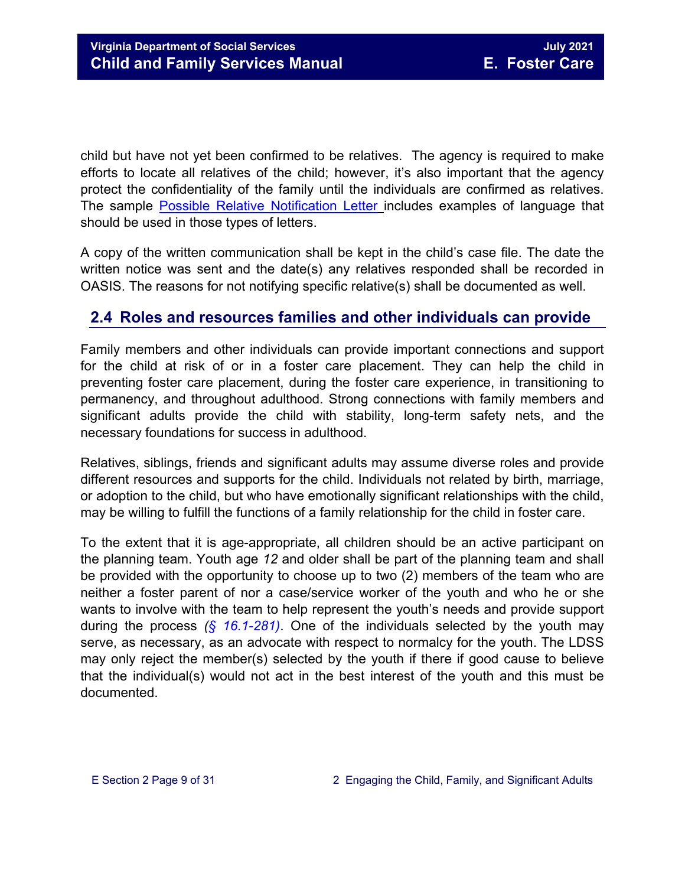child but have not yet been confirmed to be relatives. The agency is required to make efforts to locate all relatives of the child; however, it's also important that the agency protect the confidentiality of the family until the individuals are confirmed as relatives. The sample [Possible Relative Notification Letter](https://fusion.dss.virginia.gov/Portals/%5Bdfs%5D/Files/DFS%20FORMS/Foster%20Care%20Forms/Possible%20Relative%20Notification%20Form%20%28fillable%29.docx) includes examples of language that should be used in those types of letters.

A copy of the written communication shall be kept in the child's case file. The date the written notice was sent and the date(s) any relatives responded shall be recorded in OASIS. The reasons for not notifying specific relative(s) shall be documented as well.

## <span id="page-8-0"></span>**2.4 Roles and resources families and other individuals can provide**

Family members and other individuals can provide important connections and support for the child at risk of or in a foster care placement. They can help the child in preventing foster care placement, during the foster care experience, in transitioning to permanency, and throughout adulthood. Strong connections with family members and significant adults provide the child with stability, long-term safety nets, and the necessary foundations for success in adulthood.

Relatives, siblings, friends and significant adults may assume diverse roles and provide different resources and supports for the child. Individuals not related by birth, marriage, or adoption to the child, but who have emotionally significant relationships with the child, may be willing to fulfill the functions of a family relationship for the child in foster care.

To the extent that it is age-appropriate, all children should be an active participant on the planning team. Youth age *12* and older shall be part of the planning team and shall be provided with the opportunity to choose up to two (2) members of the team who are neither a foster parent of nor a case/service worker of the youth and who he or she wants to involve with the team to help represent the youth's needs and provide support during the process *(§ 16.1-281)*. One of the individuals selected by the youth may serve, as necessary, as an advocate with respect to normalcy for the youth. The LDSS may only reject the member(s) selected by the youth if there if good cause to believe that the individual(s) would not act in the best interest of the youth and this must be documented.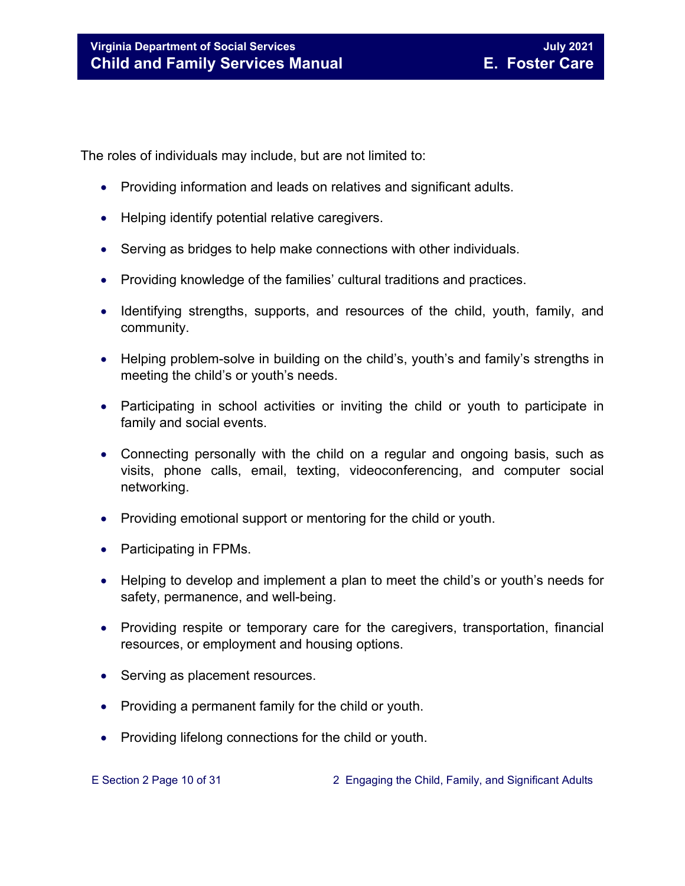The roles of individuals may include, but are not limited to:

- Providing information and leads on relatives and significant adults.
- Helping identify potential relative caregivers.
- Serving as bridges to help make connections with other individuals.
- Providing knowledge of the families' cultural traditions and practices.
- Identifying strengths, supports, and resources of the child, youth, family, and community.
- Helping problem-solve in building on the child's, youth's and family's strengths in meeting the child's or youth's needs.
- Participating in school activities or inviting the child or youth to participate in family and social events.
- Connecting personally with the child on a regular and ongoing basis, such as visits, phone calls, email, texting, videoconferencing, and computer social networking.
- Providing emotional support or mentoring for the child or youth.
- Participating in FPMs.
- Helping to develop and implement a plan to meet the child's or youth's needs for safety, permanence, and well-being.
- Providing respite or temporary care for the caregivers, transportation, financial resources, or employment and housing options.
- Serving as placement resources.
- Providing a permanent family for the child or youth.
- Providing lifelong connections for the child or youth.

E Section 2 Page 10 of 31 2 Engaging the Child, Family, and Significant Adults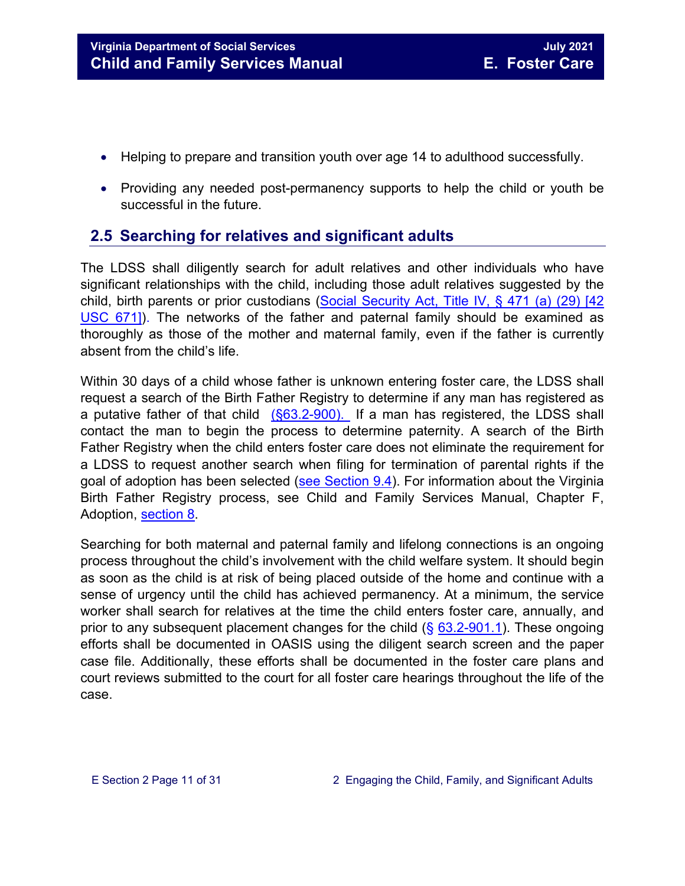- Helping to prepare and transition youth over age 14 to adulthood successfully.
- Providing any needed post-permanency supports to help the child or youth be successful in the future.

## <span id="page-10-0"></span>**2.5 Searching for relatives and significant adults**

The LDSS shall diligently search for adult relatives and other individuals who have significant relationships with the child, including those adult relatives suggested by the child, birth parents or prior custodians [\(Social Security Act, Title IV,](http://www.ssa.gov/OP_Home/ssact/title04/0471.htm) § 471 (a) (29) [42 [USC 671\]\)](http://www.ssa.gov/OP_Home/ssact/title04/0471.htm). The networks of the father and paternal family should be examined as thoroughly as those of the mother and maternal family, even if the father is currently absent from the child's life.

Within 30 days of a child whose father is unknown entering foster care, the LDSS shall request a search of the Birth Father Registry to determine if any man has registered as a putative father of that child [\(§63.2-900\).](https://law.lis.virginia.gov/vacode/63.2-900/) If a man has registered, the LDSS shall contact the man to begin the process to determine paternity. A search of the Birth Father Registry when the child enters foster care does not eliminate the requirement for a LDSS to request another search when filing for termination of parental rights if the goal of adoption has been selected [\(see Section 9.4\)](https://fusion.dss.virginia.gov/Portals/%5bdfs%5d/Files/DFS%20Manuals/Foster%20Care%20Manuals/Foster%20Care%20Manual%2007-2020/Final%20Foster%20Care%20Manual%2007-2020/section_9_achieving_permanency_goal_adoption.pdf#page=5). For information about the Virginia Birth Father Registry process, see Child and Family Services Manual, Chapter F, Adoption, [section 8.](https://fusion.dss.virginia.gov/Portals/%5Bdfs%5D/Files/Adoption/Guidance/2020/section_8_virginia%20birth%20father%20registry.pdf)

Searching for both maternal and paternal family and lifelong connections is an ongoing process throughout the child's involvement with the child welfare system. It should begin as soon as the child is at risk of being placed outside of the home and continue with a sense of urgency until the child has achieved permanency. At a minimum, the service worker shall search for relatives at the time the child enters foster care, annually, and prior to any subsequent placement changes for the child  $(\S$  [63.2-901.1\)](https://law.lis.virginia.gov/vacode/63.2-900.1). These ongoing efforts shall be documented in OASIS using the diligent search screen and the paper case file. Additionally, these efforts shall be documented in the foster care plans and court reviews submitted to the court for all foster care hearings throughout the life of the case.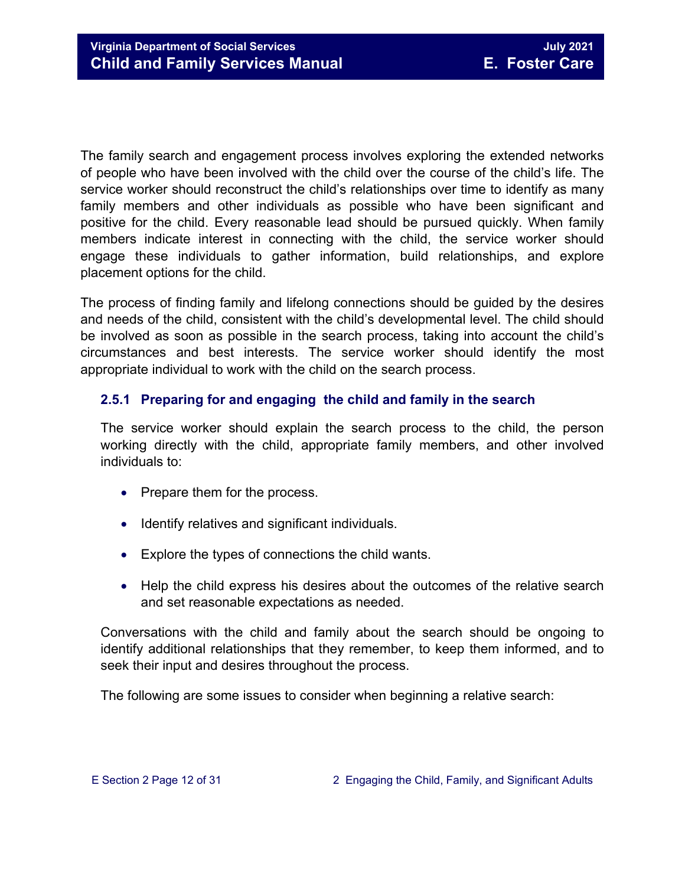The family search and engagement process involves exploring the extended networks of people who have been involved with the child over the course of the child's life. The service worker should reconstruct the child's relationships over time to identify as many family members and other individuals as possible who have been significant and positive for the child. Every reasonable lead should be pursued quickly. When family members indicate interest in connecting with the child, the service worker should engage these individuals to gather information, build relationships, and explore placement options for the child.

The process of finding family and lifelong connections should be guided by the desires and needs of the child, consistent with the child's developmental level. The child should be involved as soon as possible in the search process, taking into account the child's circumstances and best interests. The service worker should identify the most appropriate individual to work with the child on the search process.

#### <span id="page-11-0"></span>**2.5.1 Preparing for and engaging the child and family in the search**

The service worker should explain the search process to the child, the person working directly with the child, appropriate family members, and other involved individuals to:

- Prepare them for the process.
- Identify relatives and significant individuals.
- Explore the types of connections the child wants.
- Help the child express his desires about the outcomes of the relative search and set reasonable expectations as needed.

Conversations with the child and family about the search should be ongoing to identify additional relationships that they remember, to keep them informed, and to seek their input and desires throughout the process.

The following are some issues to consider when beginning a relative search: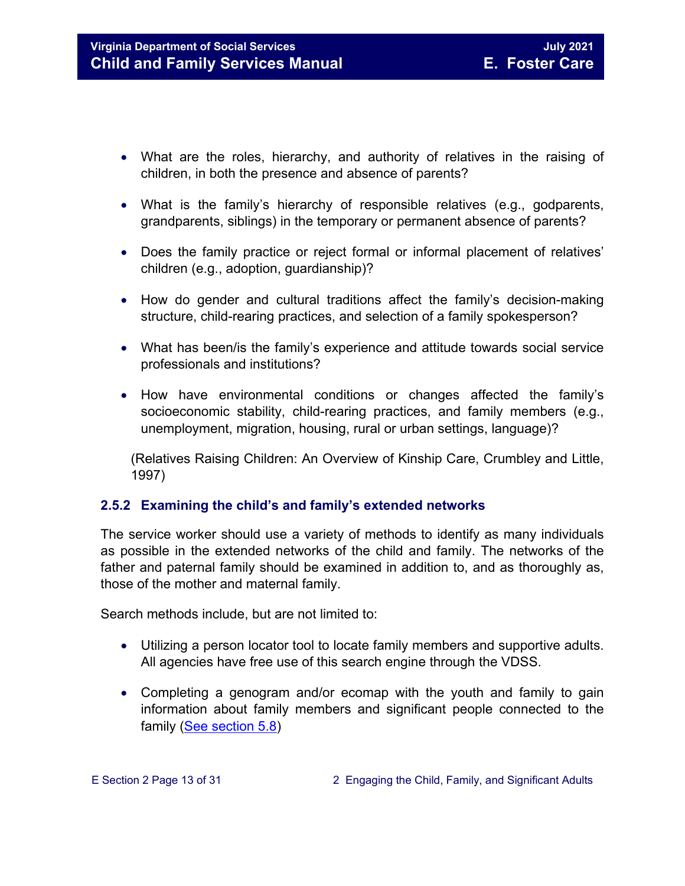- What are the roles, hierarchy, and authority of relatives in the raising of children, in both the presence and absence of parents?
- What is the family's hierarchy of responsible relatives (e.g., godparents, grandparents, siblings) in the temporary or permanent absence of parents?
- Does the family practice or reject formal or informal placement of relatives' children (e.g., adoption, guardianship)?
- How do gender and cultural traditions affect the family's decision-making structure, child-rearing practices, and selection of a family spokesperson?
- What has been/is the family's experience and attitude towards social service professionals and institutions?
- How have environmental conditions or changes affected the family's socioeconomic stability, child-rearing practices, and family members (e.g., unemployment, migration, housing, rural or urban settings, language)?

(Relatives Raising Children: An Overview of Kinship Care, Crumbley and Little, 1997)

#### <span id="page-12-0"></span>**2.5.2 Examining the child's and family's extended networks**

The service worker should use a variety of methods to identify as many individuals as possible in the extended networks of the child and family. The networks of the father and paternal family should be examined in addition to, and as thoroughly as, those of the mother and maternal family.

Search methods include, but are not limited to:

- Utilizing a person locator tool to locate family members and supportive adults. All agencies have free use of this search engine through the VDSS.
- Completing a genogram and/or ecomap with the youth and family to gain information about family members and significant people connected to the family [\(See section 5.8\)](https://fusion.dss.virginia.gov/Portals/%5Bdfs%5D/Files/DFS%20Manuals/Foster%20Care%20Manuals/Foster%20Care%20Manual%2007-2020/section_5_conducting_child_and_family_assessment.pdf#page=15)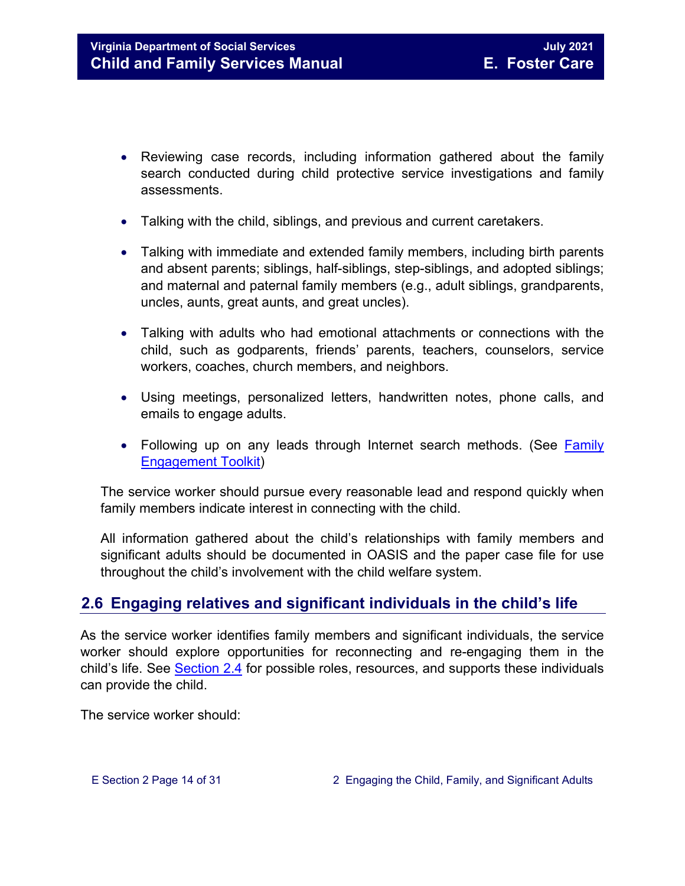- Reviewing case records, including information gathered about the family search conducted during child protective service investigations and family assessments.
- Talking with the child, siblings, and previous and current caretakers.
- Talking with immediate and extended family members, including birth parents and absent parents; siblings, half-siblings, step-siblings, and adopted siblings; and maternal and paternal family members (e.g., adult siblings, grandparents, uncles, aunts, great aunts, and great uncles).
- Talking with adults who had emotional attachments or connections with the child, such as godparents, friends' parents, teachers, counselors, service workers, coaches, church members, and neighbors.
- Using meetings, personalized letters, handwritten notes, phone calls, and emails to engage adults.
- Following up on any leads through Internet search methods. (See Family [Engagement Toolkit\)](http://www.dss.virginia.gov/family/fe.cgi)

The service worker should pursue every reasonable lead and respond quickly when family members indicate interest in connecting with the child.

All information gathered about the child's relationships with family members and significant adults should be documented in OASIS and the paper case file for use throughout the child's involvement with the child welfare system.

## <span id="page-13-0"></span>**2.6 Engaging relatives and significant individuals in the child's life**

As the service worker identifies family members and significant individuals, the service worker should explore opportunities for reconnecting and re-engaging them in the child's life. See [Section](#page-8-0) 2.4 for possible roles, resources, and supports these individuals can provide the child.

The service worker should: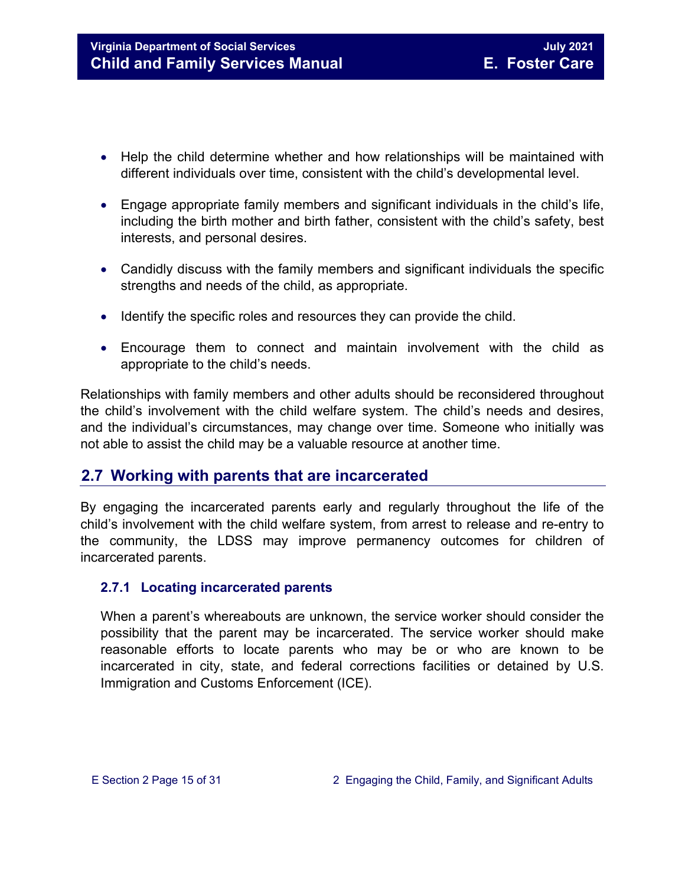- Help the child determine whether and how relationships will be maintained with different individuals over time, consistent with the child's developmental level.
- Engage appropriate family members and significant individuals in the child's life, including the birth mother and birth father, consistent with the child's safety, best interests, and personal desires.
- Candidly discuss with the family members and significant individuals the specific strengths and needs of the child, as appropriate.
- Identify the specific roles and resources they can provide the child.
- Encourage them to connect and maintain involvement with the child as appropriate to the child's needs.

Relationships with family members and other adults should be reconsidered throughout the child's involvement with the child welfare system. The child's needs and desires, and the individual's circumstances, may change over time. Someone who initially was not able to assist the child may be a valuable resource at another time.

### <span id="page-14-0"></span>**2.7 Working with parents that are incarcerated**

By engaging the incarcerated parents early and regularly throughout the life of the child's involvement with the child welfare system, from arrest to release and re-entry to the community, the LDSS may improve permanency outcomes for children of incarcerated parents.

#### <span id="page-14-1"></span>**2.7.1 Locating incarcerated parents**

When a parent's whereabouts are unknown, the service worker should consider the possibility that the parent may be incarcerated. The service worker should make reasonable efforts to locate parents who may be or who are known to be incarcerated in city, state, and federal corrections facilities or detained by U.S. Immigration and Customs Enforcement (ICE).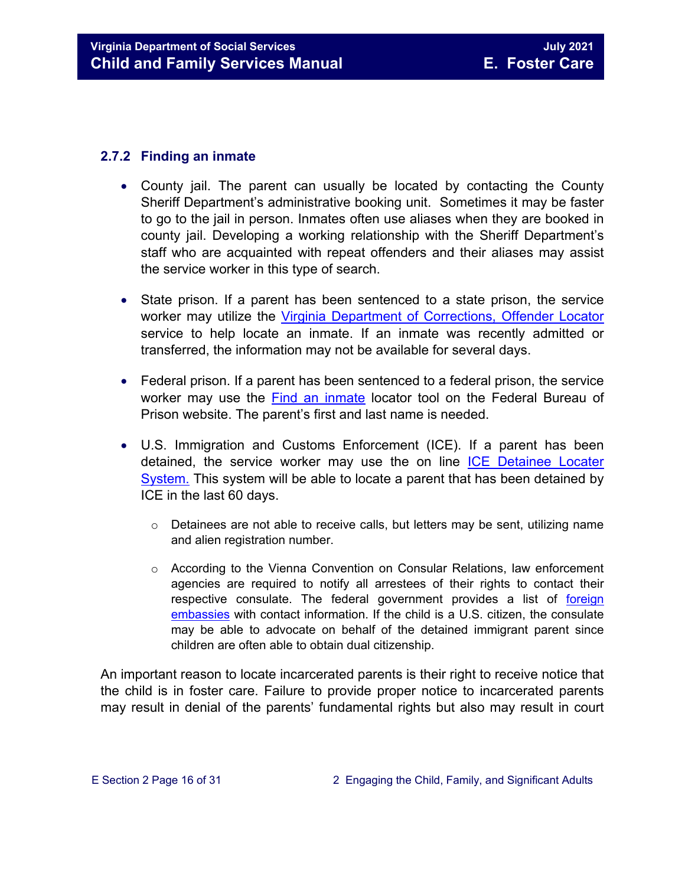#### <span id="page-15-0"></span>**2.7.2 Finding an inmate**

- County jail. The parent can usually be located by contacting the County Sheriff Department's administrative booking unit. Sometimes it may be faster to go to the jail in person. Inmates often use aliases when they are booked in county jail. Developing a working relationship with the Sheriff Department's staff who are acquainted with repeat offenders and their aliases may assist the service worker in this type of search.
- State prison. If a parent has been sentenced to a state prison, the service worker may utilize the [Virginia Department of Corrections, Offender](http://vadoc.virginia.gov/offenders/locator/index.aspx) Locator service to help locate an inmate. If an inmate was recently admitted or transferred, the information may not be available for several days.
- Federal prison. If a parent has been sentenced to a federal prison, the service worker may use the [Find an inmate](http://www.bop.gov/inmateloc/) locator tool on the Federal Bureau of Prison website. The parent's first and last name is needed.
- U.S. Immigration and Customs Enforcement (ICE). If a parent has been detained, the service worker may use the on line [ICE Detainee Locater](https://locator.ice.gov/odls/homePage.do)  [System.](https://locator.ice.gov/odls/homePage.do) This system will be able to locate a parent that has been detained by ICE in the last 60 days.
	- $\circ$  Detainees are not able to receive calls, but letters may be sent, utilizing name and alien registration number.
	- $\circ$  According to the Vienna Convention on Consular Relations, law enforcement agencies are required to notify all arrestees of their rights to contact their respective consulate. The federal government provides a list of [foreign](http://www.embassy.org/embassies/)  [embassies](http://www.embassy.org/embassies/) with contact information. If the child is a U.S. citizen, the consulate may be able to advocate on behalf of the detained immigrant parent since children are often able to obtain dual citizenship.

An important reason to locate incarcerated parents is their right to receive notice that the child is in foster care. Failure to provide proper notice to incarcerated parents may result in denial of the parents' fundamental rights but also may result in court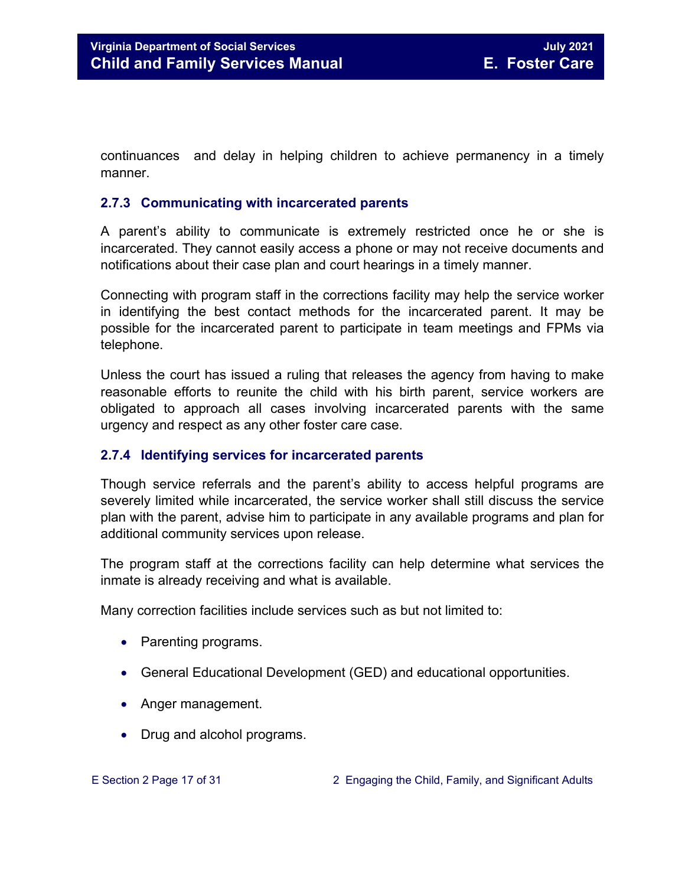continuances and delay in helping children to achieve permanency in a timely manner.

#### <span id="page-16-0"></span>**2.7.3 Communicating with incarcerated parents**

A parent's ability to communicate is extremely restricted once he or she is incarcerated. They cannot easily access a phone or may not receive documents and notifications about their case plan and court hearings in a timely manner.

Connecting with program staff in the corrections facility may help the service worker in identifying the best contact methods for the incarcerated parent. It may be possible for the incarcerated parent to participate in team meetings and FPMs via telephone.

Unless the court has issued a ruling that releases the agency from having to make reasonable efforts to reunite the child with his birth parent, service workers are obligated to approach all cases involving incarcerated parents with the same urgency and respect as any other foster care case.

#### <span id="page-16-1"></span>**2.7.4 Identifying services for incarcerated parents**

Though service referrals and the parent's ability to access helpful programs are severely limited while incarcerated, the service worker shall still discuss the service plan with the parent, advise him to participate in any available programs and plan for additional community services upon release.

The program staff at the corrections facility can help determine what services the inmate is already receiving and what is available.

Many correction facilities include services such as but not limited to:

- Parenting programs.
- General Educational Development (GED) and educational opportunities.
- Anger management.
- Drug and alcohol programs.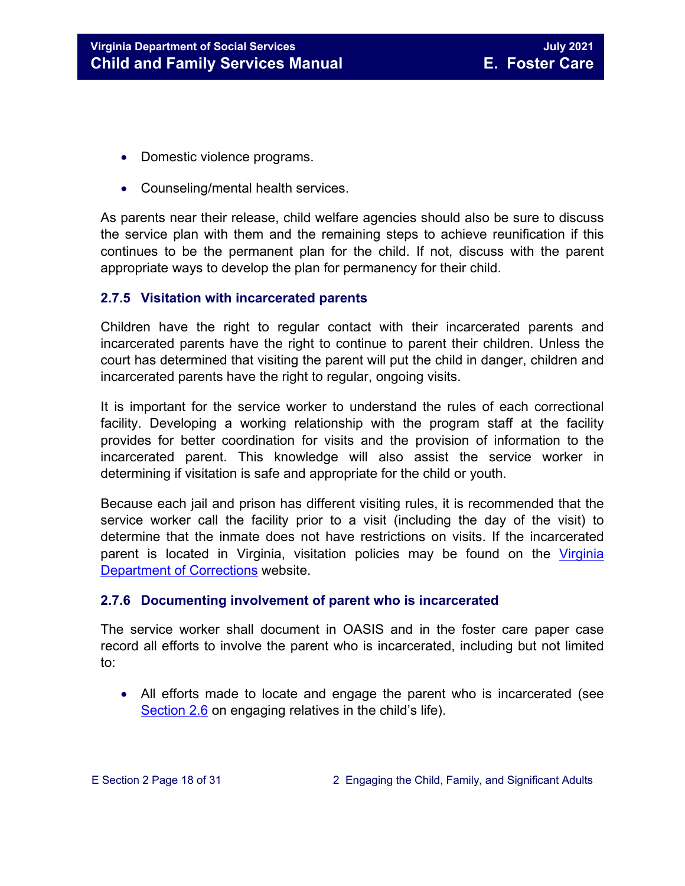- Domestic violence programs.
- Counseling/mental health services.

As parents near their release, child welfare agencies should also be sure to discuss the service plan with them and the remaining steps to achieve reunification if this continues to be the permanent plan for the child. If not, discuss with the parent appropriate ways to develop the plan for permanency for their child.

#### <span id="page-17-0"></span>**2.7.5 Visitation with incarcerated parents**

Children have the right to regular contact with their incarcerated parents and incarcerated parents have the right to continue to parent their children. Unless the court has determined that visiting the parent will put the child in danger, children and incarcerated parents have the right to regular, ongoing visits.

It is important for the service worker to understand the rules of each correctional facility. Developing a working relationship with the program staff at the facility provides for better coordination for visits and the provision of information to the incarcerated parent. This knowledge will also assist the service worker in determining if visitation is safe and appropriate for the child or youth.

Because each jail and prison has different visiting rules, it is recommended that the service worker call the facility prior to a visit (including the day of the visit) to determine that the inmate does not have restrictions on visits. If the incarcerated parent is located in Virginia, visitation policies may be found on the [Virginia](http://vadoc.virginia.gov/offenders/visitation/default.shtm)  [Department of Corrections](http://vadoc.virginia.gov/offenders/visitation/default.shtm) website.

#### <span id="page-17-1"></span>**2.7.6 Documenting involvement of parent who is incarcerated**

The service worker shall document in OASIS and in the foster care paper case record all efforts to involve the parent who is incarcerated, including but not limited to:

• All efforts made to locate and engage the parent who is incarcerated (see [Section 2.6](#page-13-0) on engaging relatives in the child's life).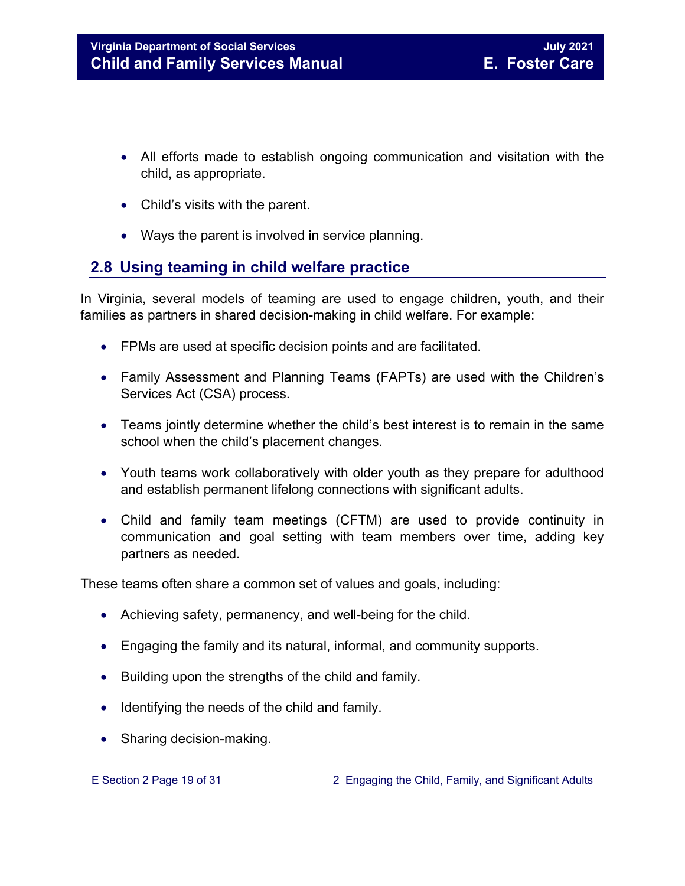- All efforts made to establish ongoing communication and visitation with the child, as appropriate.
- Child's visits with the parent.
- Ways the parent is involved in service planning.

## <span id="page-18-0"></span>**2.8 Using teaming in child welfare practice**

In Virginia, several models of teaming are used to engage children, youth, and their families as partners in shared decision-making in child welfare. For example:

- FPMs are used at specific decision points and are facilitated.
- Family Assessment and Planning Teams (FAPTs) are used with the Children's Services Act (CSA) process.
- Teams jointly determine whether the child's best interest is to remain in the same school when the child's placement changes.
- Youth teams work collaboratively with older youth as they prepare for adulthood and establish permanent lifelong connections with significant adults.
- Child and family team meetings (CFTM) are used to provide continuity in communication and goal setting with team members over time, adding key partners as needed.

These teams often share a common set of values and goals, including:

- Achieving safety, permanency, and well-being for the child.
- Engaging the family and its natural, informal, and community supports.
- Building upon the strengths of the child and family.
- Identifying the needs of the child and family.
- Sharing decision-making.

E Section 2 Page 19 of 31 2 Engaging the Child, Family, and Significant Adults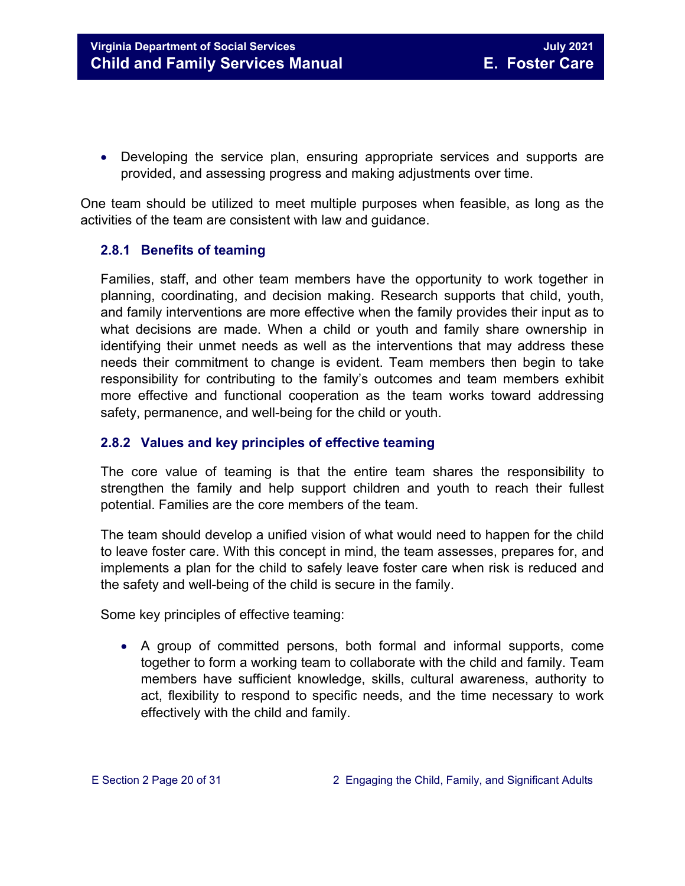• Developing the service plan, ensuring appropriate services and supports are provided, and assessing progress and making adjustments over time.

One team should be utilized to meet multiple purposes when feasible, as long as the activities of the team are consistent with law and guidance.

#### <span id="page-19-0"></span>**2.8.1 Benefits of teaming**

Families, staff, and other team members have the opportunity to work together in planning, coordinating, and decision making. Research supports that child, youth, and family interventions are more effective when the family provides their input as to what decisions are made. When a child or youth and family share ownership in identifying their unmet needs as well as the interventions that may address these needs their commitment to change is evident. Team members then begin to take responsibility for contributing to the family's outcomes and team members exhibit more effective and functional cooperation as the team works toward addressing safety, permanence, and well-being for the child or youth.

#### <span id="page-19-1"></span>**2.8.2 Values and key principles of effective teaming**

The core value of teaming is that the entire team shares the responsibility to strengthen the family and help support children and youth to reach their fullest potential. Families are the core members of the team.

The team should develop a unified vision of what would need to happen for the child to leave foster care. With this concept in mind, the team assesses, prepares for, and implements a plan for the child to safely leave foster care when risk is reduced and the safety and well-being of the child is secure in the family.

Some key principles of effective teaming:

• A group of committed persons, both formal and informal supports, come together to form a working team to collaborate with the child and family. Team members have sufficient knowledge, skills, cultural awareness, authority to act, flexibility to respond to specific needs, and the time necessary to work effectively with the child and family.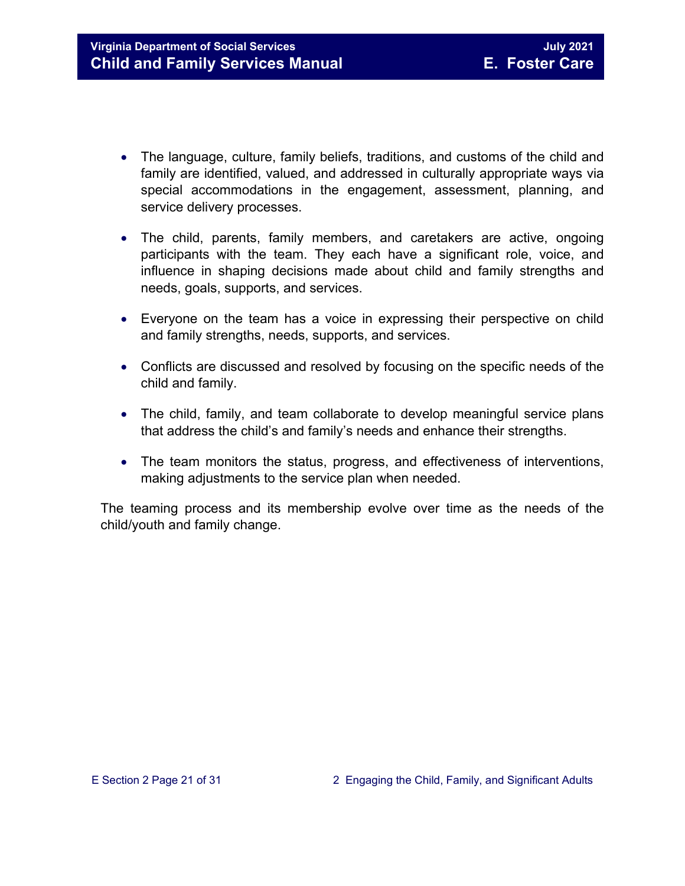- The language, culture, family beliefs, traditions, and customs of the child and family are identified, valued, and addressed in culturally appropriate ways via special accommodations in the engagement, assessment, planning, and service delivery processes.
- The child, parents, family members, and caretakers are active, ongoing participants with the team. They each have a significant role, voice, and influence in shaping decisions made about child and family strengths and needs, goals, supports, and services.
- Everyone on the team has a voice in expressing their perspective on child and family strengths, needs, supports, and services.
- Conflicts are discussed and resolved by focusing on the specific needs of the child and family.
- The child, family, and team collaborate to develop meaningful service plans that address the child's and family's needs and enhance their strengths.
- The team monitors the status, progress, and effectiveness of interventions, making adjustments to the service plan when needed.

The teaming process and its membership evolve over time as the needs of the child/youth and family change.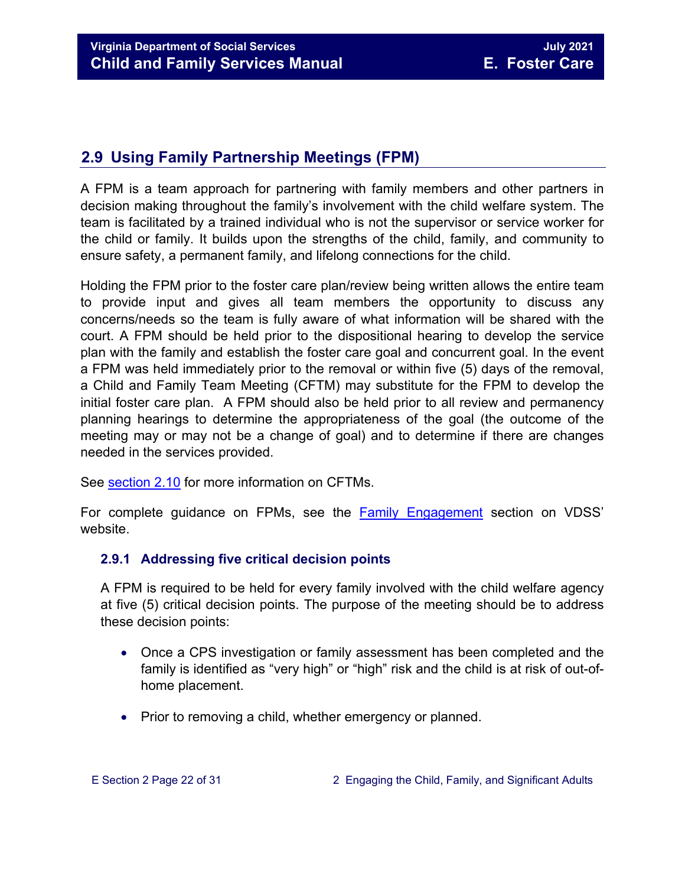## <span id="page-21-0"></span>**2.9 Using Family Partnership Meetings (FPM)**

A FPM is a team approach for partnering with family members and other partners in decision making throughout the family's involvement with the child welfare system. The team is facilitated by a trained individual who is not the supervisor or service worker for the child or family. It builds upon the strengths of the child, family, and community to ensure safety, a permanent family, and lifelong connections for the child.

Holding the FPM prior to the foster care plan/review being written allows the entire team to provide input and gives all team members the opportunity to discuss any concerns/needs so the team is fully aware of what information will be shared with the court. A FPM should be held prior to the dispositional hearing to develop the service plan with the family and establish the foster care goal and concurrent goal. In the event a FPM was held immediately prior to the removal or within five (5) days of the removal, a Child and Family Team Meeting (CFTM) may substitute for the FPM to develop the initial foster care plan. A FPM should also be held prior to all review and permanency planning hearings to determine the appropriateness of the goal (the outcome of the meeting may or may not be a change of goal) and to determine if there are changes needed in the services provided.

See [section 2.10](#page-26-2) for more information on CFTMs.

For complete guidance on FPMs, see the [Family Engagement](http://www.dss.virginia.gov/family/fe.cgi) section on VDSS' website.

#### <span id="page-21-1"></span>**2.9.1 Addressing five critical decision points**

A FPM is required to be held for every family involved with the child welfare agency at five (5) critical decision points. The purpose of the meeting should be to address these decision points:

- Once a CPS investigation or family assessment has been completed and the family is identified as "very high" or "high" risk and the child is at risk of out-ofhome placement.
- Prior to removing a child, whether emergency or planned.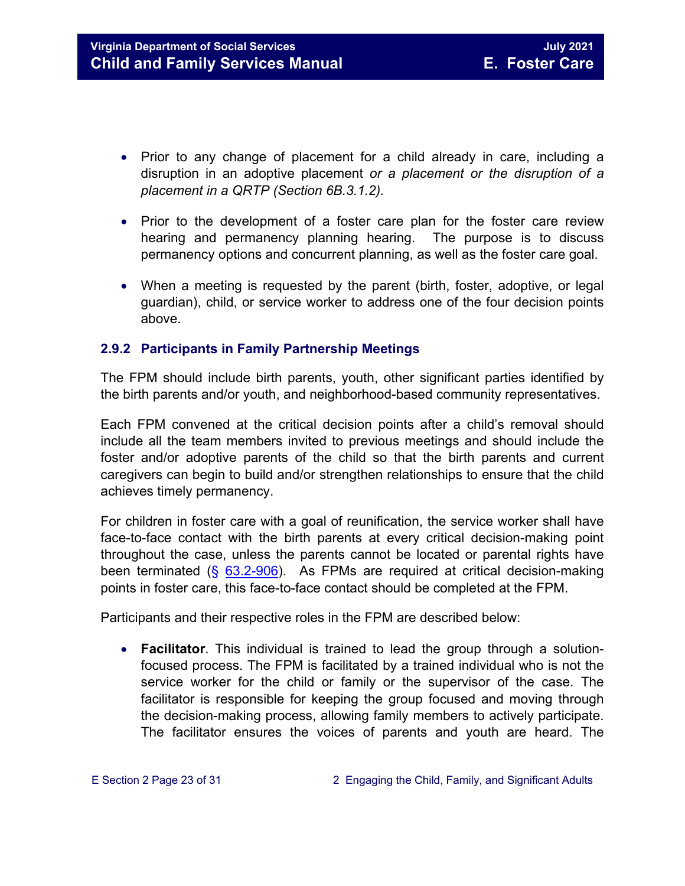- Prior to any change of placement for a child already in care, including a disruption in an adoptive placement *or a placement or the disruption of a placement in a QRTP (Section 6B.3.1.2).*
- Prior to the development of a foster care plan for the foster care review hearing and permanency planning hearing. The purpose is to discuss permanency options and concurrent planning, as well as the foster care goal.
- When a meeting is requested by the parent (birth, foster, adoptive, or legal guardian), child, or service worker to address one of the four decision points above.

#### <span id="page-22-0"></span>**2.9.2 Participants in Family Partnership Meetings**

The FPM should include birth parents, youth, other significant parties identified by the birth parents and/or youth, and neighborhood-based community representatives.

Each FPM convened at the critical decision points after a child's removal should include all the team members invited to previous meetings and should include the foster and/or adoptive parents of the child so that the birth parents and current caregivers can begin to build and/or strengthen relationships to ensure that the child achieves timely permanency.

For children in foster care with a goal of reunification, the service worker shall have face-to-face contact with the birth parents at every critical decision-making point throughout the case, unless the parents cannot be located or parental rights have been terminated  $(\S$  [63.2-906\)](https://law.lis.virginia.gov/vacode/63.2-906). As FPMs are required at critical decision-making points in foster care, this face-to-face contact should be completed at the FPM.

Participants and their respective roles in the FPM are described below:

• **Facilitator**. This individual is trained to lead the group through a solutionfocused process. The FPM is facilitated by a trained individual who is not the service worker for the child or family or the supervisor of the case. The facilitator is responsible for keeping the group focused and moving through the decision-making process, allowing family members to actively participate. The facilitator ensures the voices of parents and youth are heard. The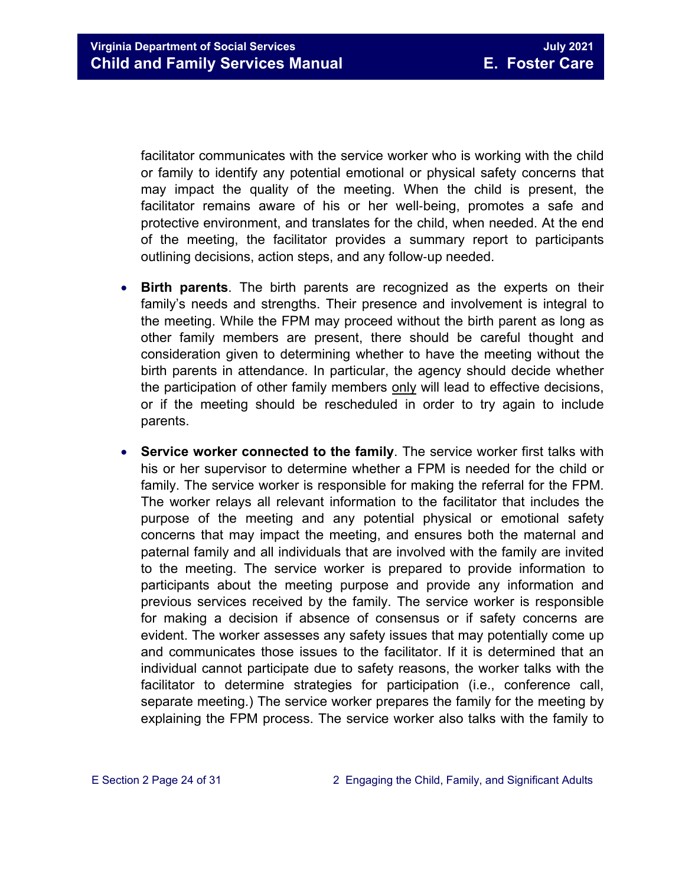facilitator communicates with the service worker who is working with the child or family to identify any potential emotional or physical safety concerns that may impact the quality of the meeting. When the child is present, the facilitator remains aware of his or her well‐being, promotes a safe and protective environment, and translates for the child, when needed. At the end of the meeting, the facilitator provides a summary report to participants outlining decisions, action steps, and any follow‐up needed.

- **Birth parents**. The birth parents are recognized as the experts on their family's needs and strengths. Their presence and involvement is integral to the meeting. While the FPM may proceed without the birth parent as long as other family members are present, there should be careful thought and consideration given to determining whether to have the meeting without the birth parents in attendance. In particular, the agency should decide whether the participation of other family members only will lead to effective decisions, or if the meeting should be rescheduled in order to try again to include parents.
- **Service worker connected to the family**. The service worker first talks with his or her supervisor to determine whether a FPM is needed for the child or family. The service worker is responsible for making the referral for the FPM. The worker relays all relevant information to the facilitator that includes the purpose of the meeting and any potential physical or emotional safety concerns that may impact the meeting, and ensures both the maternal and paternal family and all individuals that are involved with the family are invited to the meeting. The service worker is prepared to provide information to participants about the meeting purpose and provide any information and previous services received by the family. The service worker is responsible for making a decision if absence of consensus or if safety concerns are evident. The worker assesses any safety issues that may potentially come up and communicates those issues to the facilitator. If it is determined that an individual cannot participate due to safety reasons, the worker talks with the facilitator to determine strategies for participation (i.e., conference call, separate meeting.) The service worker prepares the family for the meeting by explaining the FPM process. The service worker also talks with the family to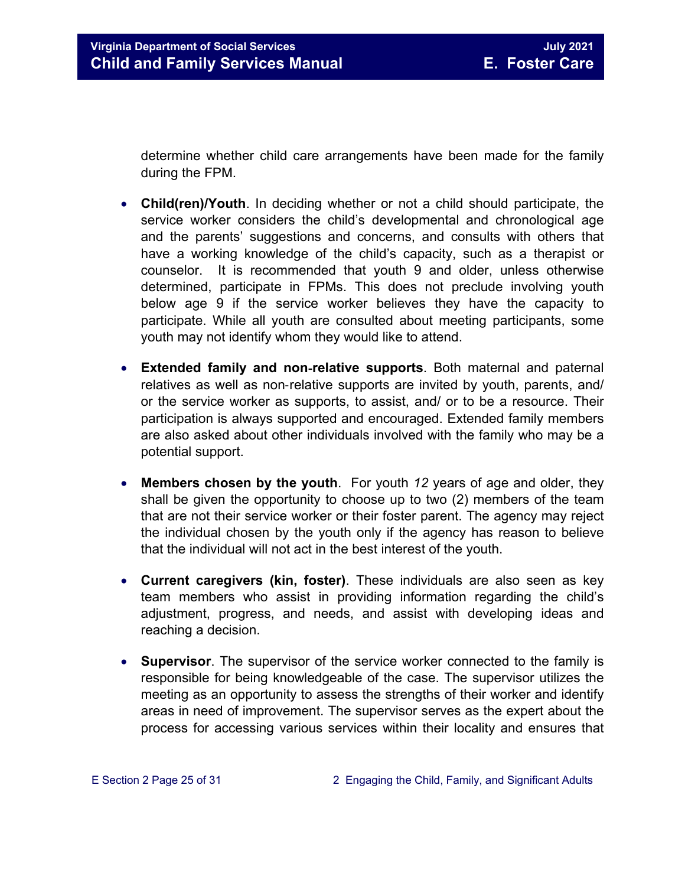determine whether child care arrangements have been made for the family during the FPM.

- **Child(ren)/Youth**. In deciding whether or not a child should participate, the service worker considers the child's developmental and chronological age and the parents' suggestions and concerns, and consults with others that have a working knowledge of the child's capacity, such as a therapist or counselor. It is recommended that youth 9 and older, unless otherwise determined, participate in FPMs. This does not preclude involving youth below age 9 if the service worker believes they have the capacity to participate. While all youth are consulted about meeting participants, some youth may not identify whom they would like to attend.
- **Extended family and non**‐**relative supports**. Both maternal and paternal relatives as well as non-relative supports are invited by youth, parents, and/ or the service worker as supports, to assist, and/ or to be a resource. Their participation is always supported and encouraged. Extended family members are also asked about other individuals involved with the family who may be a potential support.
- **Members chosen by the youth**. For youth *12* years of age and older, they shall be given the opportunity to choose up to two (2) members of the team that are not their service worker or their foster parent. The agency may reject the individual chosen by the youth only if the agency has reason to believe that the individual will not act in the best interest of the youth.
- **Current caregivers (kin, foster)**. These individuals are also seen as key team members who assist in providing information regarding the child's adjustment, progress, and needs, and assist with developing ideas and reaching a decision.
- **Supervisor**. The supervisor of the service worker connected to the family is responsible for being knowledgeable of the case. The supervisor utilizes the meeting as an opportunity to assess the strengths of their worker and identify areas in need of improvement. The supervisor serves as the expert about the process for accessing various services within their locality and ensures that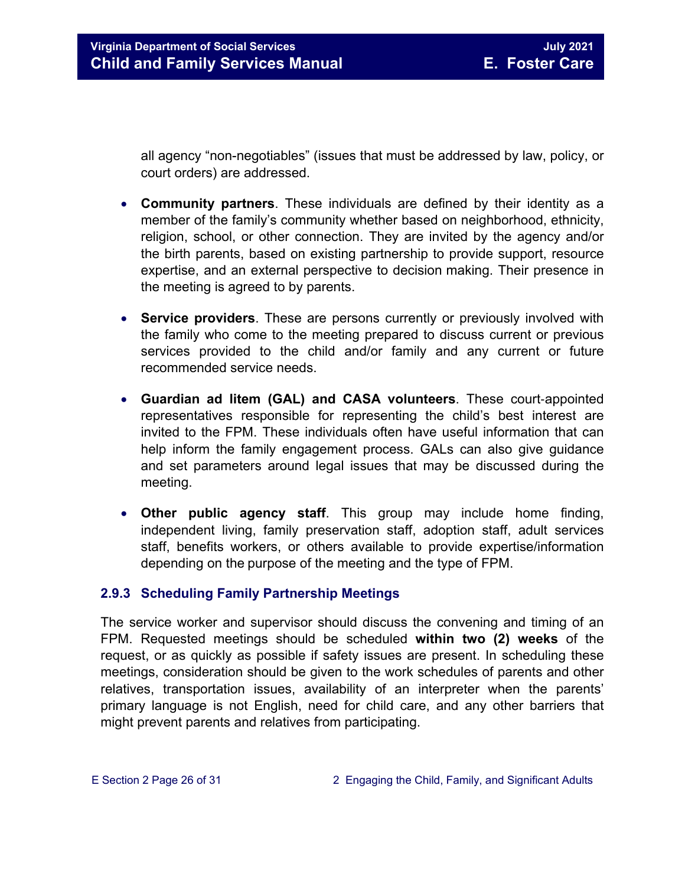all agency "non-negotiables" (issues that must be addressed by law, policy, or court orders) are addressed.

- **Community partners**. These individuals are defined by their identity as a member of the family's community whether based on neighborhood, ethnicity, religion, school, or other connection. They are invited by the agency and/or the birth parents, based on existing partnership to provide support, resource expertise, and an external perspective to decision making. Their presence in the meeting is agreed to by parents.
- **Service providers**. These are persons currently or previously involved with the family who come to the meeting prepared to discuss current or previous services provided to the child and/or family and any current or future recommended service needs.
- **Guardian ad litem (GAL) and CASA volunteers**. These court‐appointed representatives responsible for representing the child's best interest are invited to the FPM. These individuals often have useful information that can help inform the family engagement process. GALs can also give guidance and set parameters around legal issues that may be discussed during the meeting.
- **Other public agency staff**. This group may include home finding, independent living, family preservation staff, adoption staff, adult services staff, benefits workers, or others available to provide expertise/information depending on the purpose of the meeting and the type of FPM.

#### <span id="page-25-0"></span>**2.9.3 Scheduling Family Partnership Meetings**

The service worker and supervisor should discuss the convening and timing of an FPM. Requested meetings should be scheduled **within two (2) weeks** of the request, or as quickly as possible if safety issues are present. In scheduling these meetings, consideration should be given to the work schedules of parents and other relatives, transportation issues, availability of an interpreter when the parents' primary language is not English, need for child care, and any other barriers that might prevent parents and relatives from participating.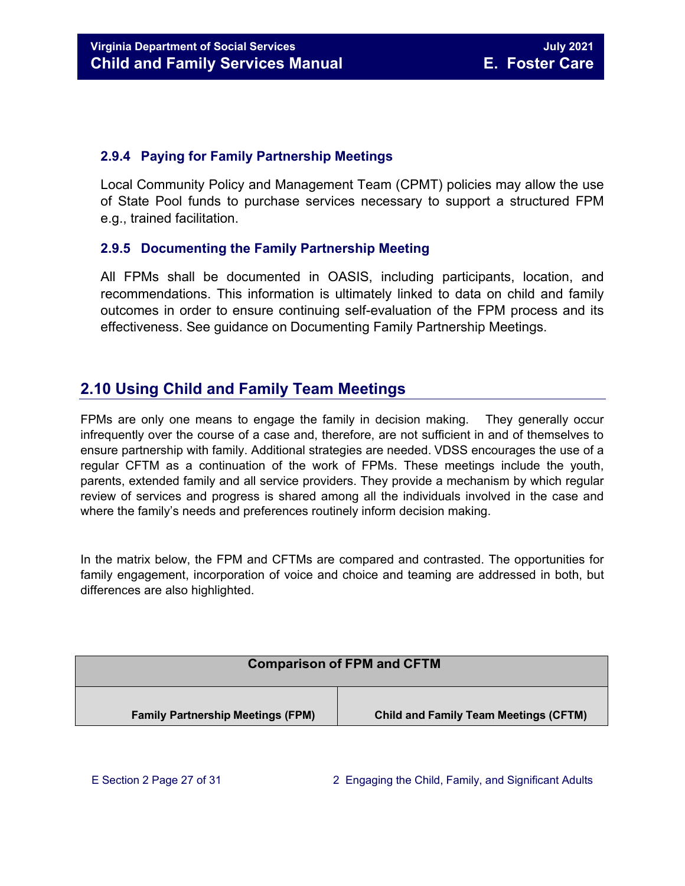#### <span id="page-26-0"></span>**2.9.4 Paying for Family Partnership Meetings**

Local Community Policy and Management Team (CPMT) policies may allow the use of State Pool funds to purchase services necessary to support a structured FPM e.g., trained facilitation.

#### <span id="page-26-1"></span>**2.9.5 Documenting the Family Partnership Meeting**

All FPMs shall be documented in OASIS, including participants, location, and recommendations. This information is ultimately linked to data on child and family outcomes in order to ensure continuing self-evaluation of the FPM process and its effectiveness. See guidance on Documenting Family Partnership Meetings.

## <span id="page-26-2"></span>**2.10 Using Child and Family Team Meetings**

FPMs are only one means to engage the family in decision making. They generally occur infrequently over the course of a case and, therefore, are not sufficient in and of themselves to ensure partnership with family. Additional strategies are needed. VDSS encourages the use of a regular CFTM as a continuation of the work of FPMs. These meetings include the youth, parents, extended family and all service providers. They provide a mechanism by which regular review of services and progress is shared among all the individuals involved in the case and where the family's needs and preferences routinely inform decision making.

In the matrix below, the FPM and CFTMs are compared and contrasted. The opportunities for family engagement, incorporation of voice and choice and teaming are addressed in both, but differences are also highlighted.

| <b>Comparison of FPM and CFTM</b>        |                                              |  |
|------------------------------------------|----------------------------------------------|--|
| <b>Family Partnership Meetings (FPM)</b> | <b>Child and Family Team Meetings (CFTM)</b> |  |
|                                          |                                              |  |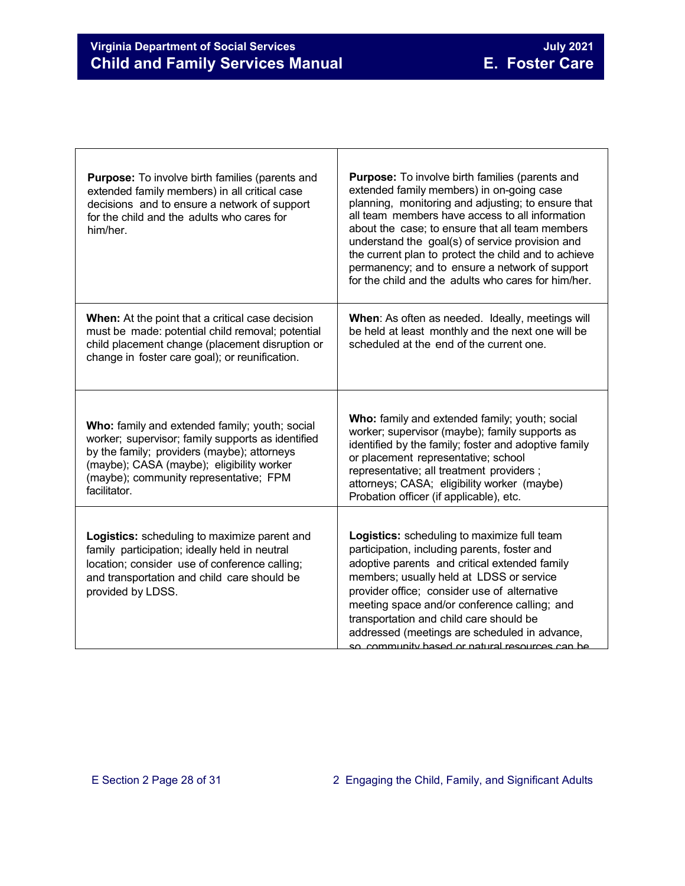٦

| <b>Purpose:</b> To involve birth families (parents and<br>extended family members) in all critical case<br>decisions and to ensure a network of support<br>for the child and the adults who cares for<br>him/her.                                         | <b>Purpose:</b> To involve birth families (parents and<br>extended family members) in on-going case<br>planning, monitoring and adjusting; to ensure that<br>all team members have access to all information<br>about the case; to ensure that all team members<br>understand the goal(s) of service provision and<br>the current plan to protect the child and to achieve<br>permanency; and to ensure a network of support<br>for the child and the adults who cares for him/her. |
|-----------------------------------------------------------------------------------------------------------------------------------------------------------------------------------------------------------------------------------------------------------|-------------------------------------------------------------------------------------------------------------------------------------------------------------------------------------------------------------------------------------------------------------------------------------------------------------------------------------------------------------------------------------------------------------------------------------------------------------------------------------|
| <b>When:</b> At the point that a critical case decision<br>must be made: potential child removal; potential<br>child placement change (placement disruption or<br>change in foster care goal); or reunification.                                          | When: As often as needed. Ideally, meetings will<br>be held at least monthly and the next one will be<br>scheduled at the end of the current one.                                                                                                                                                                                                                                                                                                                                   |
| Who: family and extended family; youth; social<br>worker; supervisor; family supports as identified<br>by the family; providers (maybe); attorneys<br>(maybe); CASA (maybe); eligibility worker<br>(maybe); community representative; FPM<br>facilitator. | Who: family and extended family; youth; social<br>worker; supervisor (maybe); family supports as<br>identified by the family; foster and adoptive family<br>or placement representative; school<br>representative; all treatment providers;<br>attorneys; CASA; eligibility worker (maybe)<br>Probation officer (if applicable), etc.                                                                                                                                               |
| Logistics: scheduling to maximize parent and<br>family participation; ideally held in neutral<br>location; consider use of conference calling;<br>and transportation and child care should be<br>provided by LDSS.                                        | Logistics: scheduling to maximize full team<br>participation, including parents, foster and<br>adoptive parents and critical extended family<br>members; usually held at LDSS or service<br>provider office; consider use of alternative<br>meeting space and/or conference calling; and<br>transportation and child care should be<br>addressed (meetings are scheduled in advance,<br>so, community hased or natural resources can he                                             |

Т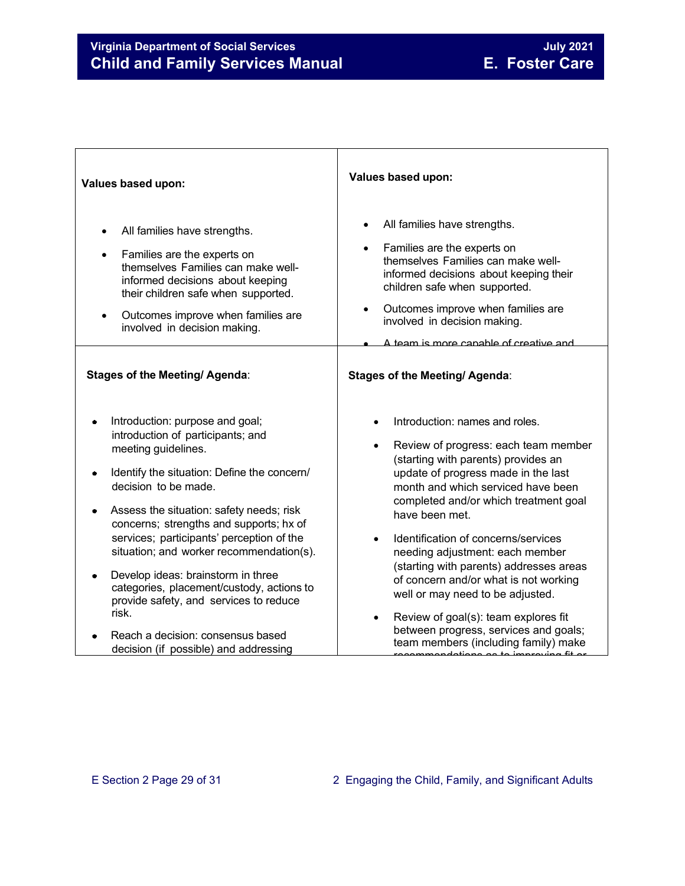## **Virginia Department of Social Services**<br> **Child and Family Services Manual Child and Family Services Manual E. Foster Care Child and Family Services Manual**

| Values based upon:                                                                                                                                                                                                                                                                                                                                                                                                                                                                       | Values based upon:                                                                                                                                                                                                                                                                                                                                                                                                                                                                                                                       |
|------------------------------------------------------------------------------------------------------------------------------------------------------------------------------------------------------------------------------------------------------------------------------------------------------------------------------------------------------------------------------------------------------------------------------------------------------------------------------------------|------------------------------------------------------------------------------------------------------------------------------------------------------------------------------------------------------------------------------------------------------------------------------------------------------------------------------------------------------------------------------------------------------------------------------------------------------------------------------------------------------------------------------------------|
| All families have strengths.<br>Families are the experts on<br>themselves Families can make well-<br>informed decisions about keeping<br>their children safe when supported.<br>Outcomes improve when families are<br>$\bullet$<br>involved in decision making.                                                                                                                                                                                                                          | All families have strengths.<br>Families are the experts on<br>themselves Families can make well-<br>informed decisions about keeping their<br>children safe when supported.<br>Outcomes improve when families are<br>involved in decision making.<br><u>A team is more canable of creative and </u>                                                                                                                                                                                                                                     |
| <b>Stages of the Meeting/ Agenda:</b>                                                                                                                                                                                                                                                                                                                                                                                                                                                    | <b>Stages of the Meeting/ Agenda:</b>                                                                                                                                                                                                                                                                                                                                                                                                                                                                                                    |
| Introduction: purpose and goal;<br>introduction of participants; and<br>meeting guidelines.<br>Identify the situation: Define the concern/<br>decision to be made.<br>Assess the situation: safety needs; risk<br>concerns; strengths and supports; hx of<br>services; participants' perception of the<br>situation; and worker recommendation(s).<br>Develop ideas: brainstorm in three<br>categories, placement/custody, actions to<br>provide safety, and services to reduce<br>risk. | Introduction: names and roles.<br>Review of progress: each team member<br>(starting with parents) provides an<br>update of progress made in the last<br>month and which serviced have been<br>completed and/or which treatment goal<br>have been met.<br>Identification of concerns/services<br>needing adjustment: each member<br>(starting with parents) addresses areas<br>of concern and/or what is not working<br>well or may need to be adjusted.<br>Review of goal(s): team explores fit<br>between progress, services and goals; |
| Reach a decision: consensus based<br>decision (if possible) and addressing                                                                                                                                                                                                                                                                                                                                                                                                               | team members (including family) make                                                                                                                                                                                                                                                                                                                                                                                                                                                                                                     |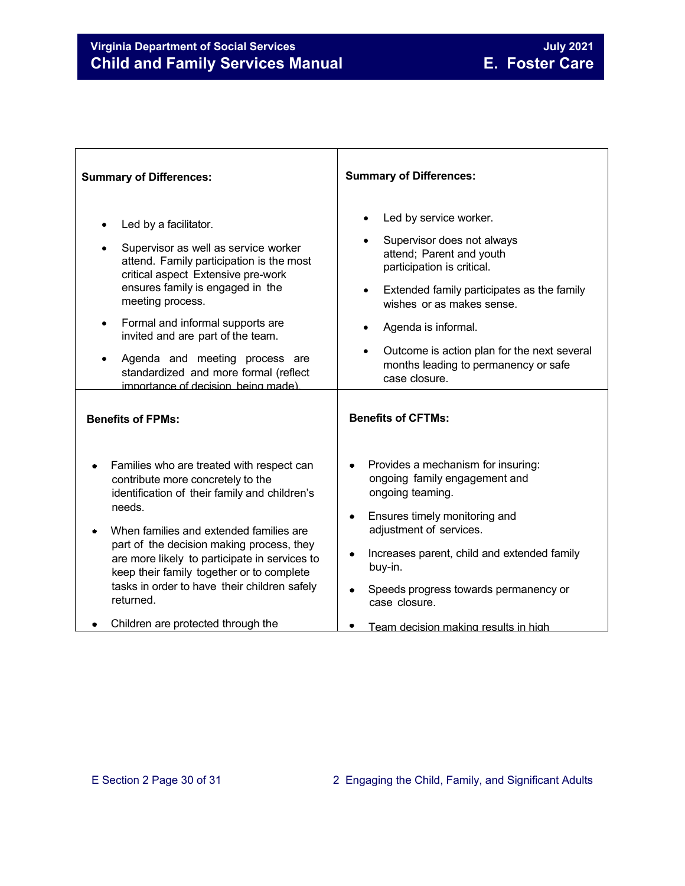## **Virginia Department of Social Services**<br> **Child and Family Services Manual Child and Family Services Manual E. Foster Care Child and Family Services Manual**

| <b>Summary of Differences:</b>                                                                                                                                                                                                                                                                                                                                                                     | <b>Summary of Differences:</b>                                                                                                                                                                                                                                                                                           |
|----------------------------------------------------------------------------------------------------------------------------------------------------------------------------------------------------------------------------------------------------------------------------------------------------------------------------------------------------------------------------------------------------|--------------------------------------------------------------------------------------------------------------------------------------------------------------------------------------------------------------------------------------------------------------------------------------------------------------------------|
| Led by a facilitator.<br>Supervisor as well as service worker<br>attend. Family participation is the most<br>critical aspect Extensive pre-work<br>ensures family is engaged in the<br>meeting process.<br>Formal and informal supports are<br>invited and are part of the team.<br>Agenda and meeting process are<br>standardized and more formal (reflect<br>importance of decision being made). | Led by service worker.<br>Supervisor does not always<br>attend; Parent and youth<br>participation is critical.<br>Extended family participates as the family<br>wishes or as makes sense.<br>Agenda is informal.<br>Outcome is action plan for the next several<br>months leading to permanency or safe<br>case closure. |
| <b>Benefits of FPMs:</b>                                                                                                                                                                                                                                                                                                                                                                           | <b>Benefits of CFTMs:</b>                                                                                                                                                                                                                                                                                                |
| Families who are treated with respect can<br>contribute more concretely to the<br>identification of their family and children's<br>needs.<br>When families and extended families are<br>part of the decision making process, they<br>are more likely to participate in services to<br>keep their family together or to complete<br>tasks in order to have their children safely<br>returned.       | Provides a mechanism for insuring:<br>ongoing family engagement and<br>ongoing teaming.<br>Ensures timely monitoring and<br>۰<br>adjustment of services.<br>Increases parent, child and extended family<br>buy-in.<br>Speeds progress towards permanency or<br>case closure.                                             |
| Children are protected through the                                                                                                                                                                                                                                                                                                                                                                 | Team decision making results in high                                                                                                                                                                                                                                                                                     |